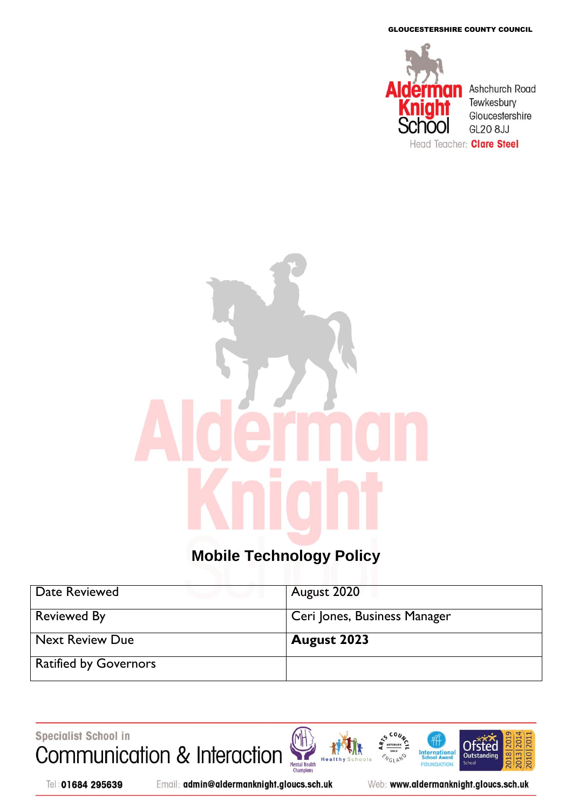GLOUCESTERSHIRE COUNTY COUNCIL



# **Mobile Technology Policy**

| Date Reviewed                | August 2020                  |
|------------------------------|------------------------------|
| <b>Reviewed By</b>           | Ceri Jones, Business Manager |
| <b>Next Review Due</b>       | August 2023                  |
| <b>Ratified by Governors</b> |                              |

Specialist School in Communication & Interaction





Email: admin@aldermanknight.gloucs.sch.uk

Web: www.aldermanknight.gloucs.sch.uk

**International**<br>School Award

FOU **IDATION** 

**NGLAND** 

**201** 

2018

**Ofsted** 

Outstand

**Schoo** 

020 20

 $2013$  20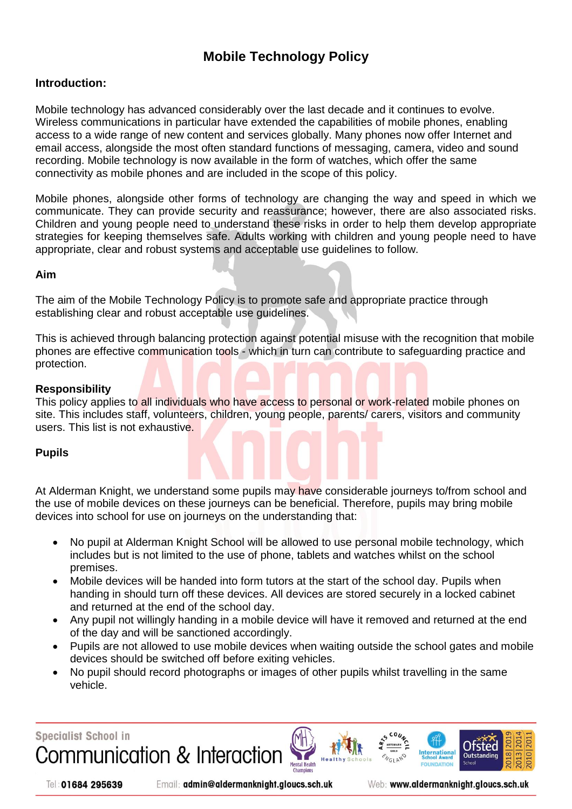## **Mobile Technology Policy**

#### **Introduction:**

Mobile technology has advanced considerably over the last decade and it continues to evolve. Wireless communications in particular have extended the capabilities of mobile phones, enabling access to a wide range of new content and services globally. Many phones now offer Internet and email access, alongside the most often standard functions of messaging, camera, video and sound recording. Mobile technology is now available in the form of watches, which offer the same connectivity as mobile phones and are included in the scope of this policy.

Mobile phones, alongside other forms of technology are changing the way and speed in which we communicate. They can provide security and reassurance; however, there are also associated risks. Children and young people need to understand these risks in order to help them develop appropriate strategies for keeping themselves safe. Adults working with children and young people need to have appropriate, clear and robust systems and acceptable use guidelines to follow.

#### **Aim**

The aim of the Mobile Technology Policy is to promote safe and appropriate practice through establishing clear and robust acceptable use guidelines.

This is achieved through balancing protection against potential misuse with the recognition that mobile phones are effective communication tools - which in turn can contribute to safeguarding practice and protection.

#### **Responsibility**

This policy applies to all individuals who have access to personal or work-related mobile phones on site. This includes staff, volunteers, children, young people, parents/ carers, visitors and community users. This list is not exhaustive.

#### **Pupils**

At Alderman Knight, we understand some pupils may have considerable journeys to/from school and the use of mobile devices on these journeys can be beneficial. Therefore, pupils may bring mobile devices into school for use on journeys on the understanding that:

- No pupil at Alderman Knight School will be allowed to use personal mobile technology, which includes but is not limited to the use of phone, tablets and watches whilst on the school premises.
- Mobile devices will be handed into form tutors at the start of the school day. Pupils when handing in should turn off these devices. All devices are stored securely in a locked cabinet and returned at the end of the school day.
- Any pupil not willingly handing in a mobile device will have it removed and returned at the end of the day and will be sanctioned accordingly.
- Pupils are not allowed to use mobile devices when waiting outside the school gates and mobile devices should be switched off before exiting vehicles.
- No pupil should record photographs or images of other pupils whilst travelling in the same vehicle.

**Specialist School in Communication & Interaction** 





Email: admin@aldermanknight.gloucs.sch.uk

Web: www.aldermanknight.gloucs.sch.uk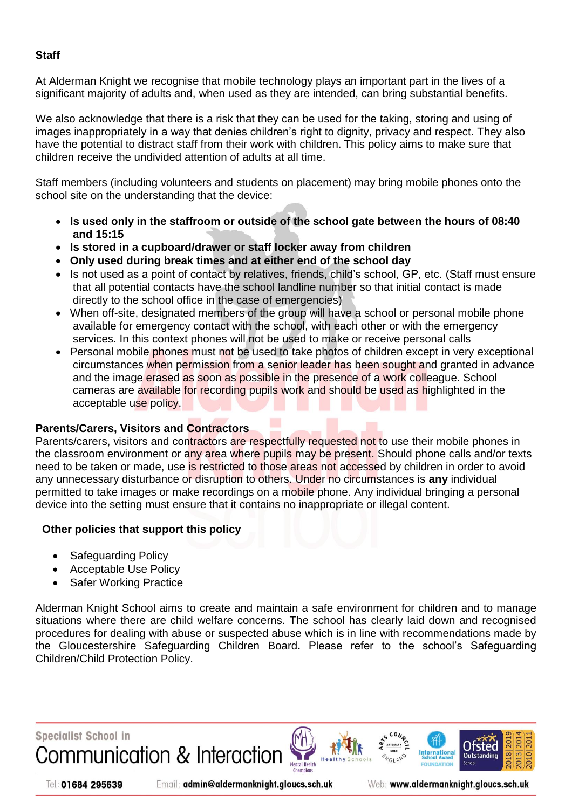#### **Staff**

At Alderman Knight we recognise that mobile technology plays an important part in the lives of a significant majority of adults and, when used as they are intended, can bring substantial benefits.

We also acknowledge that there is a risk that they can be used for the taking, storing and using of images inappropriately in a way that denies children's right to dignity, privacy and respect. They also have the potential to distract staff from their work with children. This policy aims to make sure that children receive the undivided attention of adults at all time.

Staff members (including volunteers and students on placement) may bring mobile phones onto the school site on the understanding that the device:

- **Is used only in the staffroom or outside of the school gate between the hours of 08:40 and 15:15**
- **Is stored in a cupboard/drawer or staff locker away from children**
- **Only used during break times and at either end of the school day**
- Is not used as a point of contact by relatives, friends, child's school, GP, etc. (Staff must ensure that all potential contacts have the school landline number so that initial contact is made directly to the school office in the case of emergencies)
- When off-site, designated members of the group will have a school or personal mobile phone available for emergency contact with the school, with each other or with the emergency services. In this context phones will not be used to make or receive personal calls
- Personal mobile phones must not be used to take photos of children except in very exceptional circumstances when permission from a senior leader has been sought and granted in advance and the image erased as soon as possible in the presence of a work colleague. School cameras are available for recording pupils work and should be used as highlighted in the acceptable use policy.

#### **Parents/Carers, Visitors and Contractors**

Parents/carers, visitors and contractors are respectfully requested not to use their mobile phones in the classroom environment or any area where pupils may be present. Should phone calls and/or texts need to be taken or made, use is restricted to those areas not accessed by children in order to avoid any unnecessary disturbance or disruption to others. Under no circumstances is **any** individual permitted to take images or make recordings on a mobile phone. Any individual bringing a personal device into the setting must ensure that it contains no inappropriate or illegal content.

#### **Other policies that support this policy**

- Safeguarding Policy
- Acceptable Use Policy
- Safer Working Practice

Alderman Knight School aims to create and maintain a safe environment for children and to manage situations where there are child welfare concerns. The school has clearly laid down and recognised procedures for dealing with abuse or suspected abuse which is in line with recommendations made by the Gloucestershire Safeguarding Children Board**.** Please refer to the school's Safeguarding Children/Child Protection Policy.

Communication & Interaction

**Specialist School in** 



Email: admin@aldermanknight.gloucs.sch.uk

Web: www.aldermanknight.gloucs.sch.uk